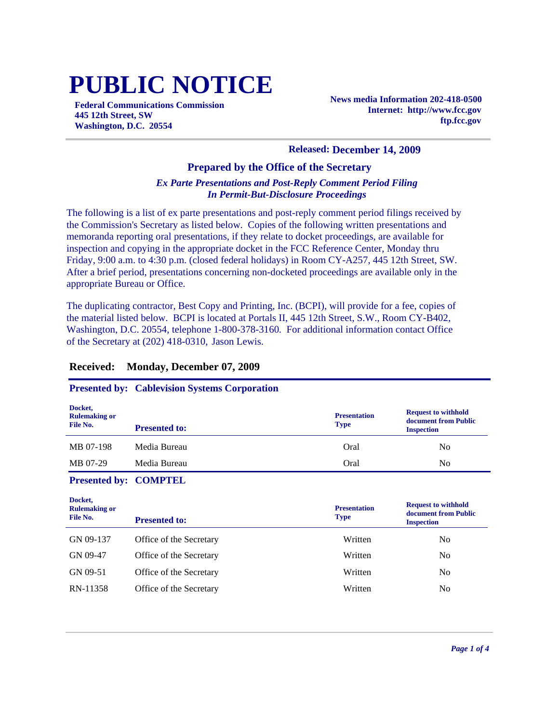# **PUBLIC NOTICE**

**Federal Communications Commission 445 12th Street, SW Washington, D.C. 20554**

**News media Information 202-418-0500 Internet: http://www.fcc.gov ftp.fcc.gov**

#### **Released: December 14, 2009**

#### **Prepared by the Office of the Secretary**

#### *Ex Parte Presentations and Post-Reply Comment Period Filing In Permit-But-Disclosure Proceedings*

The following is a list of ex parte presentations and post-reply comment period filings received by the Commission's Secretary as listed below. Copies of the following written presentations and memoranda reporting oral presentations, if they relate to docket proceedings, are available for inspection and copying in the appropriate docket in the FCC Reference Center, Monday thru Friday, 9:00 a.m. to 4:30 p.m. (closed federal holidays) in Room CY-A257, 445 12th Street, SW. After a brief period, presentations concerning non-docketed proceedings are available only in the appropriate Bureau or Office.

The duplicating contractor, Best Copy and Printing, Inc. (BCPI), will provide for a fee, copies of the material listed below. BCPI is located at Portals II, 445 12th Street, S.W., Room CY-B402, Washington, D.C. 20554, telephone 1-800-378-3160. For additional information contact Office of the Secretary at (202) 418-0310, Jason Lewis.

#### **Received: Monday, December 07, 2009**

#### **Presented by: Cablevision Systems Corporation**

| Docket,<br><b>Rulemaking or</b><br>File No. | <b>Presented to:</b> | <b>Presentation</b><br><b>Type</b> | <b>Request to withhold</b><br>document from Public<br><b>Inspection</b> |
|---------------------------------------------|----------------------|------------------------------------|-------------------------------------------------------------------------|
| MB 07-198                                   | Media Bureau         | Oral                               | N <sub>0</sub>                                                          |
| MB 07-29                                    | Media Bureau         | Oral                               | N <sub>0</sub>                                                          |

**Presented by: COMPTEL**

| Docket,<br><b>Rulemaking or</b><br>File No. | <b>Presented to:</b>    | <b>Presentation</b><br><b>Type</b> | <b>Request to withhold</b><br>document from Public<br><b>Inspection</b> |
|---------------------------------------------|-------------------------|------------------------------------|-------------------------------------------------------------------------|
| GN 09-137                                   | Office of the Secretary | Written                            | N <sub>0</sub>                                                          |
| GN 09-47                                    | Office of the Secretary | Written                            | No                                                                      |
| GN 09-51                                    | Office of the Secretary | Written                            | No                                                                      |
| RN-11358                                    | Office of the Secretary | Written                            | No                                                                      |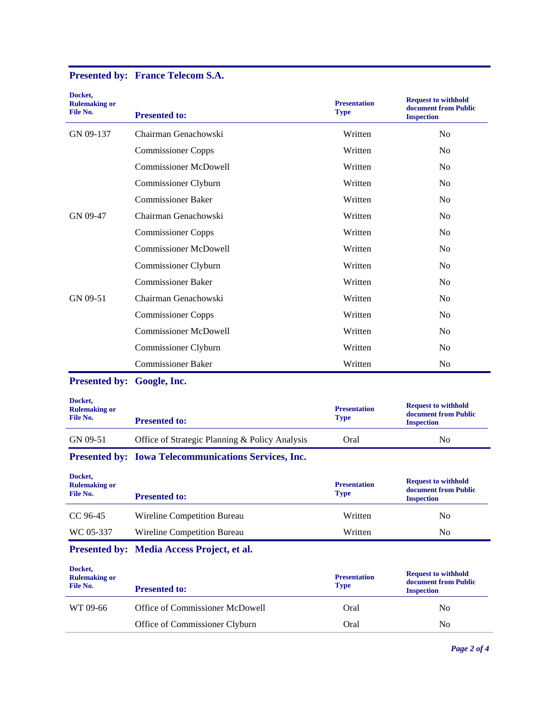| Docket,<br><b>Rulemaking or</b><br>File No. | <b>Presented to:</b>                                 | <b>Presentation</b><br><b>Type</b> | <b>Request to withhold</b><br>document from Public<br><b>Inspection</b> |
|---------------------------------------------|------------------------------------------------------|------------------------------------|-------------------------------------------------------------------------|
| GN 09-137                                   | Chairman Genachowski                                 | Written                            | No                                                                      |
|                                             | <b>Commissioner Copps</b>                            | Written                            | N <sub>0</sub>                                                          |
|                                             | <b>Commissioner McDowell</b>                         | Written                            | No                                                                      |
|                                             | Commissioner Clyburn                                 | Written                            | N <sub>0</sub>                                                          |
|                                             | <b>Commissioner Baker</b>                            | Written                            | N <sub>0</sub>                                                          |
| GN 09-47                                    | Chairman Genachowski                                 | Written                            | N <sub>0</sub>                                                          |
|                                             | <b>Commissioner Copps</b>                            | Written                            | N <sub>0</sub>                                                          |
|                                             | <b>Commissioner McDowell</b>                         | Written                            | N <sub>0</sub>                                                          |
|                                             | Commissioner Clyburn                                 | Written                            | N <sub>0</sub>                                                          |
|                                             | <b>Commissioner Baker</b>                            | Written                            | No                                                                      |
| GN 09-51                                    | Chairman Genachowski                                 | Written                            | N <sub>0</sub>                                                          |
|                                             | <b>Commissioner Copps</b>                            | Written                            | N <sub>0</sub>                                                          |
|                                             | <b>Commissioner McDowell</b>                         | Written                            | N <sub>0</sub>                                                          |
|                                             | Commissioner Clyburn                                 | Written                            | No                                                                      |
|                                             | <b>Commissioner Baker</b>                            | Written                            | No                                                                      |
| Presented by: Google, Inc.                  |                                                      |                                    |                                                                         |
| Docket,<br><b>Rulemaking or</b><br>File No. | <b>Presented to:</b>                                 | <b>Presentation</b><br><b>Type</b> | <b>Request to withhold</b><br>document from Public<br><b>Inspection</b> |
| GN 09-51                                    | Office of Strategic Planning & Policy Analysis       | Oral                               | No                                                                      |
|                                             | Presented by: Iowa Telecommunications Services, Inc. |                                    |                                                                         |
| Docket,<br><b>Rulemaking or</b><br>File No. | <b>Presented to:</b>                                 | <b>Presentation</b><br><b>Type</b> | <b>Request to withhold</b><br>document from Public<br><b>Inspection</b> |
| CC 96-45                                    | Wireline Competition Bureau                          | Written                            | N <sub>0</sub>                                                          |
| WC 05-337                                   | Wireline Competition Bureau                          | Written                            | No                                                                      |
|                                             | Presented by: Media Access Project, et al.           |                                    |                                                                         |
| Docket,<br><b>Rulemaking or</b><br>File No. | <b>Presented to:</b>                                 | <b>Presentation</b><br><b>Type</b> | <b>Request to withhold</b><br>document from Public<br><b>Inspection</b> |
| WT 09-66                                    | Office of Commissioner McDowell                      | Oral                               | N <sub>0</sub>                                                          |
|                                             | Office of Commissioner Clyburn                       | Oral                               | N <sub>0</sub>                                                          |
|                                             |                                                      |                                    |                                                                         |

## **Presented by: France Telecom S.A.**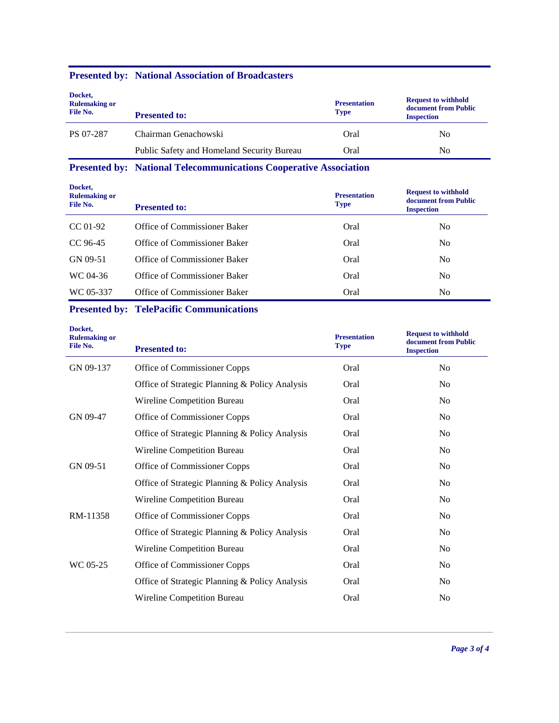#### **Presented by: National Association of Broadcasters**

| Docket,<br><b>Rulemaking or</b><br>File No. | <b>Presented to:</b>                       | <b>Presentation</b><br><b>Type</b> | <b>Request to withhold</b><br>document from Public<br><b>Inspection</b> |
|---------------------------------------------|--------------------------------------------|------------------------------------|-------------------------------------------------------------------------|
| PS 07-287                                   | Chairman Genachowski                       | Oral                               | No                                                                      |
|                                             | Public Safety and Homeland Security Bureau | Oral                               | No                                                                      |

**Presented by: National Telecommunications Cooperative Association**

**Docket,** 

| Docaci,<br><b>Rulemaking or</b><br>File No. | <b>Presented to:</b>         | <b>Presentation</b><br><b>Type</b> | <b>Request to withhold</b><br>document from Public<br><b>Inspection</b> |
|---------------------------------------------|------------------------------|------------------------------------|-------------------------------------------------------------------------|
| CC 01-92                                    | Office of Commissioner Baker | Oral                               | No                                                                      |
| CC 96-45                                    | Office of Commissioner Baker | Oral                               | No                                                                      |
| GN 09-51                                    | Office of Commissioner Baker | Oral                               | No                                                                      |
| WC 04-36                                    | Office of Commissioner Baker | Oral                               | N <sub>0</sub>                                                          |
| WC 05-337                                   | Office of Commissioner Baker | Oral                               | No                                                                      |

### **Presented by: TelePacific Communications**

| Docket,<br><b>Rulemaking or</b><br>File No. | <b>Presented to:</b>                           | <b>Presentation</b><br><b>Type</b> | <b>Request to withhold</b><br>document from Public<br><b>Inspection</b> |
|---------------------------------------------|------------------------------------------------|------------------------------------|-------------------------------------------------------------------------|
| GN 09-137                                   | Office of Commissioner Copps                   | Oral                               | No                                                                      |
|                                             | Office of Strategic Planning & Policy Analysis | Oral                               | N <sub>o</sub>                                                          |
|                                             | Wireline Competition Bureau                    | Oral                               | N <sub>o</sub>                                                          |
| GN 09-47                                    | Office of Commissioner Copps                   | Oral                               | N <sub>o</sub>                                                          |
|                                             | Office of Strategic Planning & Policy Analysis | Oral                               | N <sub>o</sub>                                                          |
|                                             | Wireline Competition Bureau                    | Oral                               | N <sub>0</sub>                                                          |
| GN 09-51                                    | Office of Commissioner Copps                   | Oral                               | No                                                                      |
|                                             | Office of Strategic Planning & Policy Analysis | Oral                               | N <sub>o</sub>                                                          |
|                                             | Wireline Competition Bureau                    | Oral                               | N <sub>o</sub>                                                          |
| RM-11358                                    | Office of Commissioner Copps                   | Oral                               | No                                                                      |
|                                             | Office of Strategic Planning & Policy Analysis | Oral                               | N <sub>o</sub>                                                          |
|                                             | Wireline Competition Bureau                    | Oral                               | N <sub>0</sub>                                                          |
| WC 05-25                                    | Office of Commissioner Copps                   | Oral                               | N <sub>0</sub>                                                          |
|                                             | Office of Strategic Planning & Policy Analysis | Oral                               | N <sub>o</sub>                                                          |
|                                             | Wireline Competition Bureau                    | Oral                               | No                                                                      |
|                                             |                                                |                                    |                                                                         |